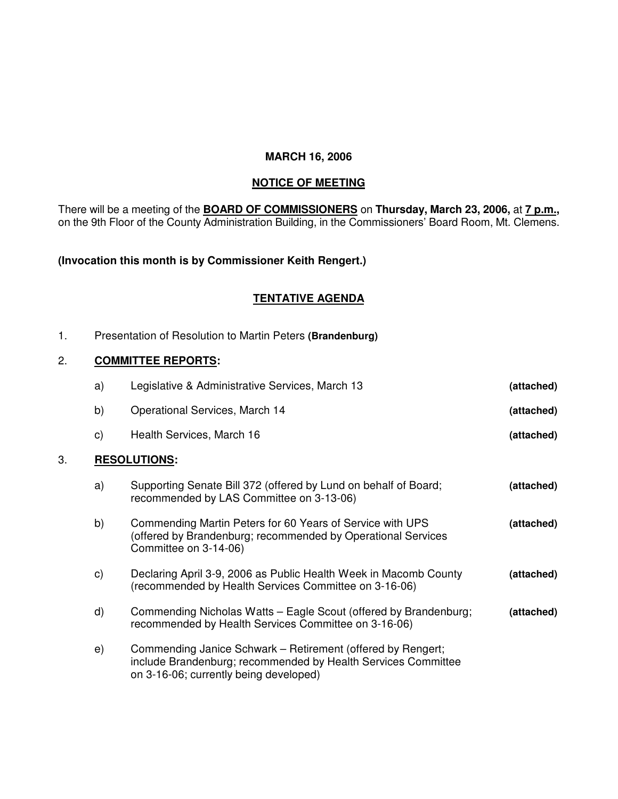## **MARCH 16, 2006**

### **NOTICE OF MEETING**

There will be a meeting of the **BOARD OF COMMISSIONERS** on **Thursday, March 23, 2006,** at **7 p.m.,** on the 9th Floor of the County Administration Building, in the Commissioners' Board Room, Mt. Clemens.

# **(Invocation this month is by Commissioner Keith Rengert.)**

## **TENTATIVE AGENDA**

1. Presentation of Resolution to Martin Peters **(Brandenburg)**

### 2. **COMMITTEE REPORTS:**

|    | a)           | Legislative & Administrative Services, March 13                                                                                                                        | (attached) |
|----|--------------|------------------------------------------------------------------------------------------------------------------------------------------------------------------------|------------|
|    | b)           | Operational Services, March 14                                                                                                                                         | (attached) |
|    | $\mathsf{c}$ | Health Services, March 16                                                                                                                                              | (attached) |
| 3. |              | <b>RESOLUTIONS:</b>                                                                                                                                                    |            |
|    | a)           | Supporting Senate Bill 372 (offered by Lund on behalf of Board;<br>recommended by LAS Committee on 3-13-06)                                                            | (attached) |
|    | b)           | Commending Martin Peters for 60 Years of Service with UPS<br>(offered by Brandenburg; recommended by Operational Services<br>Committee on 3-14-06)                     | (attached) |
|    | C)           | Declaring April 3-9, 2006 as Public Health Week in Macomb County<br>(recommended by Health Services Committee on 3-16-06)                                              | (attached) |
|    | d)           | Commending Nicholas Watts - Eagle Scout (offered by Brandenburg;<br>recommended by Health Services Committee on 3-16-06)                                               | (attached) |
|    | e)           | Commending Janice Schwark – Retirement (offered by Rengert;<br>include Brandenburg; recommended by Health Services Committee<br>on 3-16-06; currently being developed) |            |